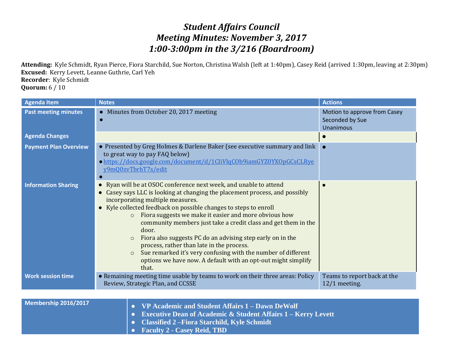# *Student Affairs Council Meeting Minutes: November 3, 2017 1:00-3:00pm in the 3/216 (Boardroom)*

**Attending:** Kyle Schmidt, Ryan Pierce, Fiora Starchild, Sue Norton, Christina Walsh (left at 1:40pm), Casey Reid (arrived 1:30pm, leaving at 2:30pm) **Excused:** Kerry Levett, Leanne Guthrie, Carl Yeh **Recorder**: Kyle Schmidt **Quorum:** 6 / 10

| <b>Agenda Item</b>           | <b>Notes</b>                                                                                                                                                                                                                                                                                                                                                                                                                                                                                                                                                                                                                                                                        | <b>Actions</b>                                                      |
|------------------------------|-------------------------------------------------------------------------------------------------------------------------------------------------------------------------------------------------------------------------------------------------------------------------------------------------------------------------------------------------------------------------------------------------------------------------------------------------------------------------------------------------------------------------------------------------------------------------------------------------------------------------------------------------------------------------------------|---------------------------------------------------------------------|
| <b>Past meeting minutes</b>  | • Minutes from October 20, 2017 meeting                                                                                                                                                                                                                                                                                                                                                                                                                                                                                                                                                                                                                                             | Motion to approve from Casey<br>Seconded by Sue<br><b>Unanimous</b> |
| <b>Agenda Changes</b>        |                                                                                                                                                                                                                                                                                                                                                                                                                                                                                                                                                                                                                                                                                     |                                                                     |
| <b>Payment Plan Overview</b> | • Presented by Greg Holmes & Darlene Baker (see executive summary and link<br>to great way to pay FAQ below)<br>· https://docs.google.com/document/d/1CliVlqCOb9iamGYZ0YXOpGCsCLRye<br>y9mQ0zvTbrhT7s/edit                                                                                                                                                                                                                                                                                                                                                                                                                                                                          |                                                                     |
| <b>Information Sharing</b>   | • Ryan will be at OSOC conference next week, and unable to attend<br>• Casey says LLC is looking at changing the placement process, and possibly<br>incorporating multiple measures.<br>• Kyle collected feedback on possible changes to steps to enroll<br>Fiora suggests we make it easier and more obvious how<br>$\circ$<br>community members just take a credit class and get them in the<br>door.<br>Fiora also suggests PC do an advising step early on in the<br>$\circ$<br>process, rather than late in the process.<br>Sue remarked it's very confusing with the number of different<br>$\circ$<br>options we have now. A default with an opt-out might simplify<br>that. |                                                                     |
| <b>Work session time</b>     | • Remaining meeting time usable by teams to work on their three areas: Policy<br>Review, Strategic Plan, and CCSSE                                                                                                                                                                                                                                                                                                                                                                                                                                                                                                                                                                  | Teams to report back at the<br>$12/1$ meeting.                      |
|                              |                                                                                                                                                                                                                                                                                                                                                                                                                                                                                                                                                                                                                                                                                     |                                                                     |
| Membership 2016/2017         | <b>ID</b> Assalate and Chilent Affains 1 Davis Dallalf                                                                                                                                                                                                                                                                                                                                                                                                                                                                                                                                                                                                                              |                                                                     |

| <b>Membership 2016/2017</b> | $\vert \bullet \vert$ VP Academic and Student Affairs $1 -$ Dawn DeWolf  |
|-----------------------------|--------------------------------------------------------------------------|
|                             | <b>Executive Dean of Academic &amp; Student Affairs 1 – Kerry Levett</b> |
|                             | Classified 2 – Fiora Starchild, Kyle Schmidt                             |
|                             | <b>Example 3 Faculty 2 - Casey Reid, TBD</b>                             |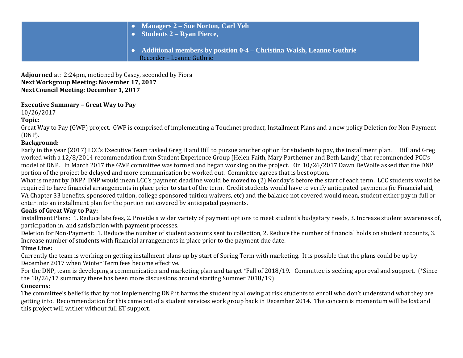| • Managers $2 - S$ ue Norton, Carl Yeh<br>$\bullet$ Students 2 – Ryan Pierce,<br>$\bullet$ Additional members by position 0-4 – Christina Walsh, Leanne Guthrie<br>Recorder - Leanne Guthrie |  |
|----------------------------------------------------------------------------------------------------------------------------------------------------------------------------------------------|--|
|----------------------------------------------------------------------------------------------------------------------------------------------------------------------------------------------|--|

**Adjourned** at: 2:24pm, motioned by Casey, seconded by Fiora **Next Workgroup Meeting: November 17, 2017 Next Council Meeting: December 1, 2017**

## **Executive Summary – Great Way to Pay**

10/26/2017

**Topic:**

Great Way to Pay (GWP) project. GWP is comprised of implementing a Touchnet product, Installment Plans and a new policy Deletion for Non-Payment (DNP).

## **Background:**

Early in the year (2017) LCC's Executive Team tasked Greg H and Bill to pursue another option for students to pay, the installment plan. Bill and Greg worked with a 12/8/2014 recommendation from Student Experience Group (Helen Faith, Mary Parthemer and Beth Landy) that recommended PCC's model of DNP. In March 2017 the GWP committee was formed and began working on the project. On 10/26/2017 Dawn DeWolfe asked that the DNP portion of the project be delayed and more communication be worked out. Committee agrees that is best option.

What is meant by DNP? DNP would mean LCC's payment deadline would be moved to (2) Monday's before the start of each term. LCC students would be required to have financial arrangements in place prior to start of the term. Credit students would have to verify anticipated payments (ie Financial aid, VA Chapter 33 benefits, sponsored tuition, college sponsored tuition waivers, etc) and the balance not covered would mean, student either pay in full or enter into an installment plan for the portion not covered by anticipated payments.

# **Goals of Great Way to Pay:**

Installment Plans: 1. Reduce late fees, 2. Provide a wider variety of payment options to meet student's budgetary needs, 3. Increase student awareness of, participation in, and satisfaction with payment processes.

Deletion for Non-Payment: 1. Reduce the number of student accounts sent to collection, 2. Reduce the number of financial holds on student accounts, 3. Increase number of students with financial arrangements in place prior to the payment due date.

### **Time Line:**

Currently the team is working on getting installment plans up by start of Spring Term with marketing. It is possible that the plans could be up by December 2017 when Winter Term fees become effective.

For the DNP, team is developing a communication and marketing plan and target \*Fall of 2018/19. Committee is seeking approval and support. (\*Since the 10/26/17 summary there has been more discussions around starting Summer 2018/19)

### **Concerns**:

The committee's belief is that by not implementing DNP it harms the student by allowing at risk students to enroll who don't understand what they are getting into. Recommendation for this came out of a student services work group back in December 2014. The concern is momentum will be lost and this project will wither without full ET support.